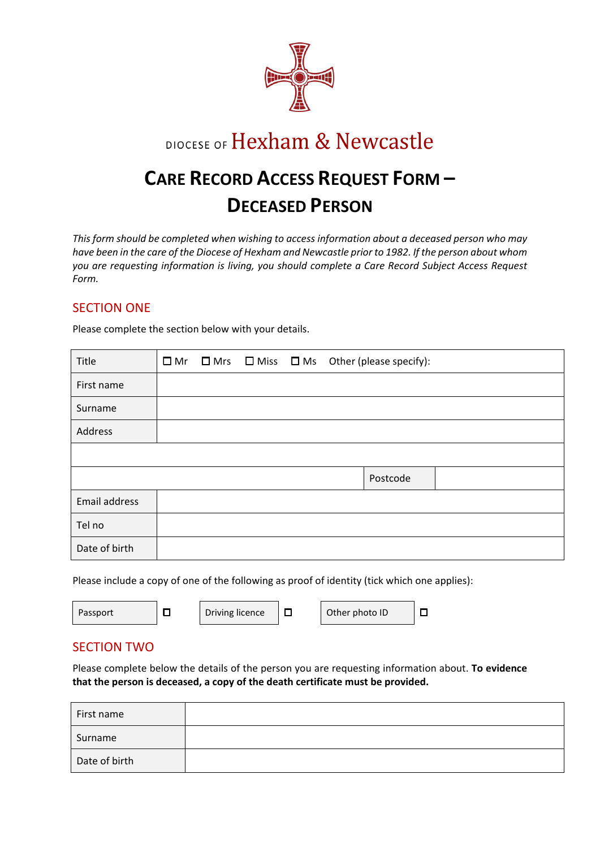

# DIOCESE OF Hexham & Newcastle

# **CARE RECORD ACCESS REQUEST FORM – DECEASED PERSON**

*This form should be completed when wishing to access information about a deceased person who may have been in the care of the Diocese of Hexham and Newcastle prior to 1982. If the person about whom you are requesting information is living, you should complete a Care Record Subject Access Request Form.* 

## SECTION ONE

Please complete the section below with your details.

| Title         | $\square$ Mr |  | $\Box$ Mrs $\Box$ Miss $\Box$ Ms Other (please specify): |
|---------------|--------------|--|----------------------------------------------------------|
| First name    |              |  |                                                          |
| Surname       |              |  |                                                          |
| Address       |              |  |                                                          |
|               |              |  |                                                          |
|               |              |  | Postcode                                                 |
| Email address |              |  |                                                          |
| Tel no        |              |  |                                                          |
| Date of birth |              |  |                                                          |

Please include a copy of one of the following as proof of identity (tick which one applies):

|--|

## SECTION TWO

Please complete below the details of the person you are requesting information about. **To evidence that the person is deceased, a copy of the death certificate must be provided.**

| First name    |  |
|---------------|--|
| Surname       |  |
| Date of birth |  |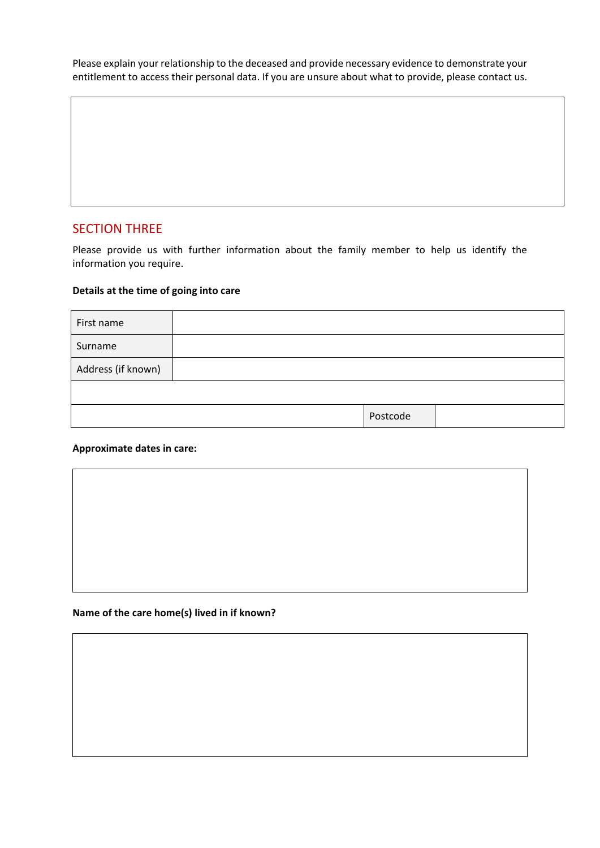Please explain your relationship to the deceased and provide necessary evidence to demonstrate your entitlement to access their personal data. If you are unsure about what to provide, please contact us.

## SECTION THREE

Please provide us with further information about the family member to help us identify the information you require.

### **Details at the time of going into care**

| First name         |          |  |
|--------------------|----------|--|
| Surname            |          |  |
| Address (if known) |          |  |
|                    |          |  |
|                    | Postcode |  |

#### **Approximate dates in care:**



#### **Name of the care home(s) lived in if known?**